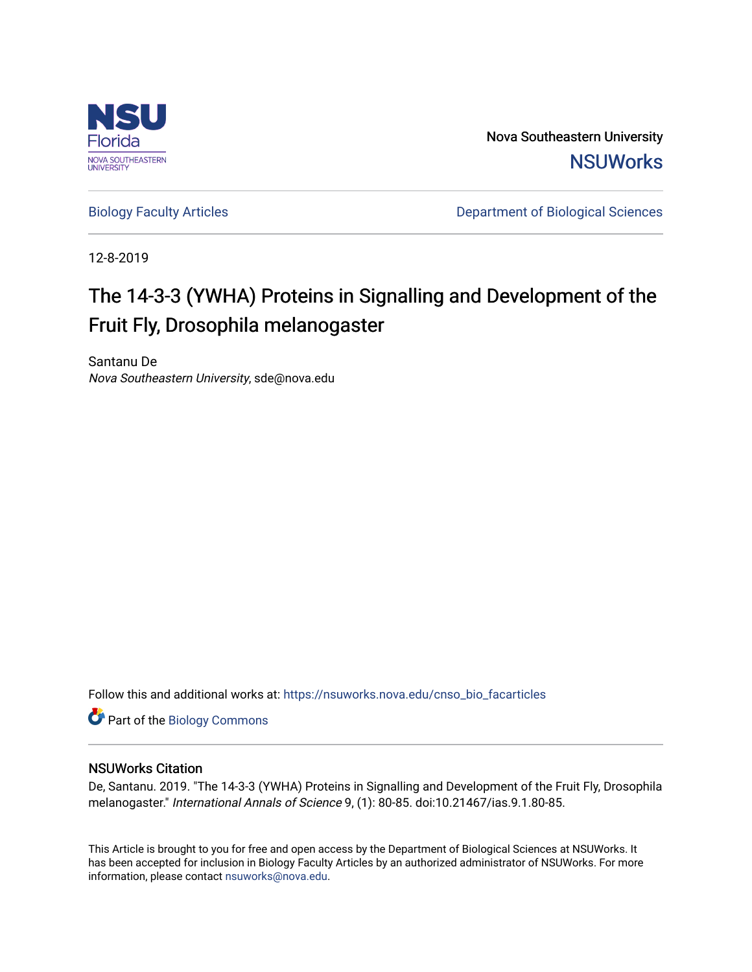

Nova Southeastern University **NSUWorks** 

[Biology Faculty Articles](https://nsuworks.nova.edu/cnso_bio_facarticles) **Department of Biological Sciences** 

12-8-2019

# The 14-3-3 (YWHA) Proteins in Signalling and Development of the Fruit Fly, Drosophila melanogaster

Santanu De Nova Southeastern University, sde@nova.edu

Follow this and additional works at: [https://nsuworks.nova.edu/cnso\\_bio\\_facarticles](https://nsuworks.nova.edu/cnso_bio_facarticles?utm_source=nsuworks.nova.edu%2Fcnso_bio_facarticles%2F1017&utm_medium=PDF&utm_campaign=PDFCoverPages) 

Part of the [Biology Commons](http://network.bepress.com/hgg/discipline/41?utm_source=nsuworks.nova.edu%2Fcnso_bio_facarticles%2F1017&utm_medium=PDF&utm_campaign=PDFCoverPages) 

## NSUWorks Citation

De, Santanu. 2019. "The 14-3-3 (YWHA) Proteins in Signalling and Development of the Fruit Fly, Drosophila melanogaster." International Annals of Science 9, (1): 80-85. doi:10.21467/ias.9.1.80-85.

This Article is brought to you for free and open access by the Department of Biological Sciences at NSUWorks. It has been accepted for inclusion in Biology Faculty Articles by an authorized administrator of NSUWorks. For more information, please contact [nsuworks@nova.edu.](mailto:nsuworks@nova.edu)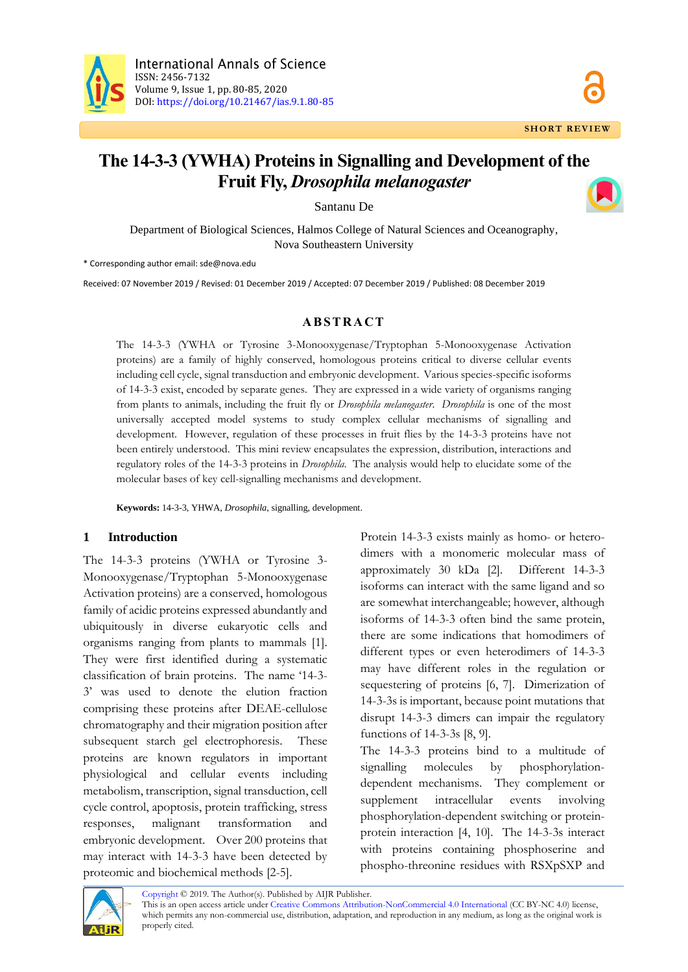

## **The 14-3-3 (YWHA) Proteins in Signalling and Development of the Fruit Fly,** *Drosophila melanogaster*

Santanu De

Department of Biological Sciences, Halmos College of Natural Sciences and Oceanography, Nova Southeastern University

\* Corresponding author email: sde@nova.edu

Received: 07 November 2019 / Revised: 01 December 2019 / Accepted: 07 December 2019 / Published: 08 December 2019

#### **A B S T R A C T**

The 14-3-3 (YWHA or Tyrosine 3-Monooxygenase/Tryptophan 5-Monooxygenase Activation proteins) are a family of highly conserved, homologous proteins critical to diverse cellular events including cell cycle, signal transduction and embryonic development. Various species-specific isoforms of 14-3-3 exist, encoded by separate genes. They are expressed in a wide variety of organisms ranging from plants to animals, including the fruit fly or *Drosophila melanogaster*. *Drosophila* is one of the most universally accepted model systems to study complex cellular mechanisms of signalling and development. However, regulation of these processes in fruit flies by the 14-3-3 proteins have not been entirely understood. This mini review encapsulates the expression, distribution, interactions and regulatory roles of the 14-3-3 proteins in *Drosophila*. The analysis would help to elucidate some of the molecular bases of key cell-signalling mechanisms and development.

**Keywords:** 14-3-3, YHWA, *Drosophila*, signalling, development.

#### **1 Introduction**

The 14-3-3 proteins (YWHA or Tyrosine 3- Monooxygenase/Tryptophan 5-Monooxygenase Activation proteins) are a conserved, homologous family of acidic proteins expressed abundantly and ubiquitously in diverse eukaryotic cells and organisms ranging from plants to mammals [1]. They were first identified during a systematic classification of brain proteins. The name '14-3- 3' was used to denote the elution fraction comprising these proteins after DEAE-cellulose chromatography and their migration position after subsequent starch gel electrophoresis. These proteins are known regulators in important physiological and cellular events including metabolism, transcription, signal transduction, cell cycle control, apoptosis, protein trafficking, stress responses, malignant transformation and embryonic development. Over 200 proteins that may interact with 14-3-3 have been detected by proteomic and biochemical methods [2-5].

Protein 14-3-3 exists mainly as homo- or heterodimers with a monomeric molecular mass of approximately 30 kDa [2]. Different 14-3-3 isoforms can interact with the same ligand and so are somewhat interchangeable; however, although isoforms of 14-3-3 often bind the same protein, there are some indications that homodimers of different types or even heterodimers of 14-3-3 may have different roles in the regulation or sequestering of proteins [6, 7]. Dimerization of 14-3-3s is important, because point mutations that disrupt 14-3-3 dimers can impair the regulatory functions of 14-3-3s [8, 9].

The 14-3-3 proteins bind to a multitude of signalling molecules by phosphorylationdependent mechanisms. They complement or supplement intracellular events involving phosphorylation-dependent switching or proteinprotein interaction [4, 10]. The 14-3-3s interact with proteins containing phosphoserine and phospho-threonine residues with RSXpSXP and



[Copyright](https://www.aijr.in/about/policies/copyright/) © 2019. The Author(s). Published by AIJR Publisher.

This is an open access article unde[r Creative Commons Attribution-NonCommercial 4.0 International](https://creativecommons.org/licenses/by-nc/4.0/) (CC BY-NC 4.0) license, which permits any non-commercial use, distribution, adaptation, and reproduction in any medium, as long as the original work is properly cited.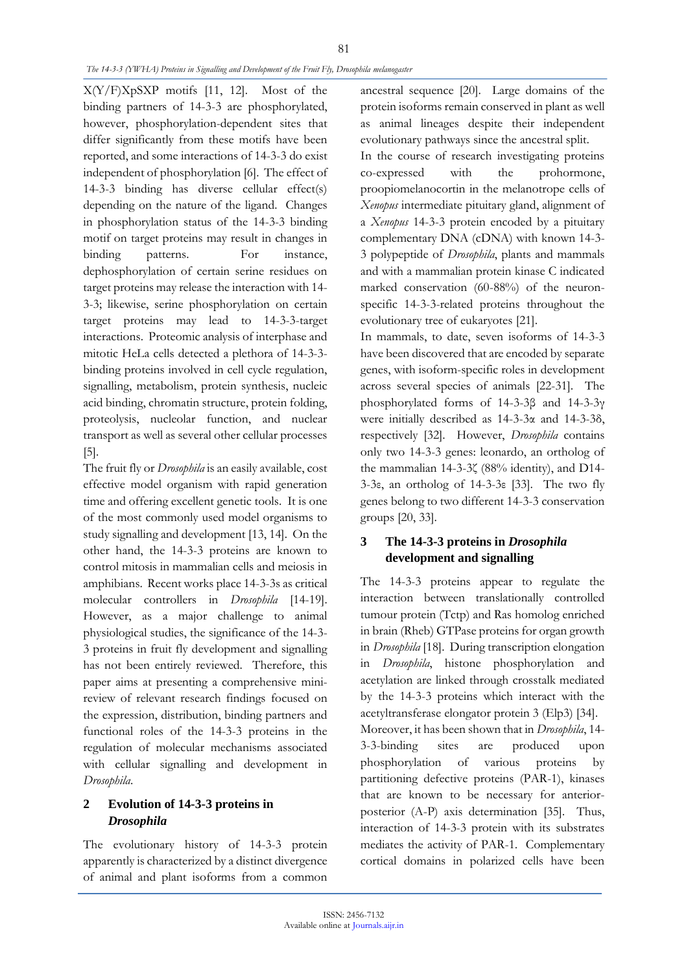#### *The 14-3-3 (YWHA) Proteins in Signalling and Development of the Fruit Fly, Drosophila melanogaster*

X(Y/F)XpSXP motifs [11, 12]. Most of the binding partners of 14-3-3 are phosphorylated, however, phosphorylation-dependent sites that differ significantly from these motifs have been reported, and some interactions of 14-3-3 do exist independent of phosphorylation [6]. The effect of 14-3-3 binding has diverse cellular effect(s) depending on the nature of the ligand. Changes in phosphorylation status of the 14-3-3 binding motif on target proteins may result in changes in binding patterns. For instance, dephosphorylation of certain serine residues on target proteins may release the interaction with 14- 3-3; likewise, serine phosphorylation on certain target proteins may lead to 14-3-3-target interactions. Proteomic analysis of interphase and mitotic HeLa cells detected a plethora of 14-3-3 binding proteins involved in cell cycle regulation, signalling, metabolism, protein synthesis, nucleic acid binding, chromatin structure, protein folding, proteolysis, nucleolar function, and nuclear transport as well as several other cellular processes [5].

The fruit fly or *Drosophila* is an easily available, cost effective model organism with rapid generation time and offering excellent genetic tools. It is one of the most commonly used model organisms to study signalling and development [13, 14]. On the other hand, the 14-3-3 proteins are known to control mitosis in mammalian cells and meiosis in amphibians. Recent works place 14-3-3s as critical molecular controllers in *Drosophila* [14-19]. However, as a major challenge to animal physiological studies, the significance of the 14-3- 3 proteins in fruit fly development and signalling has not been entirely reviewed. Therefore, this paper aims at presenting a comprehensive minireview of relevant research findings focused on the expression, distribution, binding partners and functional roles of the 14-3-3 proteins in the regulation of molecular mechanisms associated with cellular signalling and development in *Drosophila*.

## **2 Evolution of 14-3-3 proteins in**  *Drosophila*

The evolutionary history of 14-3-3 protein apparently is characterized by a distinct divergence of animal and plant isoforms from a common ancestral sequence [20]. Large domains of the protein isoforms remain conserved in plant as well as animal lineages despite their independent evolutionary pathways since the ancestral split.

In the course of research investigating proteins co-expressed with the prohormone, proopiomelanocortin in the melanotrope cells of *Xenopus* intermediate pituitary gland, alignment of a *Xenopus* 14-3-3 protein encoded by a pituitary complementary DNA (cDNA) with known 14-3- 3 polypeptide of *Drosophila*, plants and mammals and with a mammalian protein kinase C indicated marked conservation (60-88%) of the neuronspecific 14-3-3-related proteins throughout the evolutionary tree of eukaryotes [21].

In mammals, to date, seven isoforms of 14-3-3 have been discovered that are encoded by separate genes, with isoform-specific roles in development across several species of animals [22-31]. The phosphorylated forms of 14-3-3β and 14-3-3γ were initially described as 14-3-3α and 14-3-3δ, respectively [32]. However, *Drosophila* contains only two 14-3-3 genes: leonardo, an ortholog of the mammalian 14-3-3ζ (88% identity), and D14- 3-3ε, an ortholog of 14-3-3ε [33]. The two fly genes belong to two different 14-3-3 conservation groups [20, 33].

## **3 The 14-3-3 proteins in** *Drosophila* **development and signalling**

The 14-3-3 proteins appear to regulate the interaction between translationally controlled tumour protein (Tctp) and Ras homolog enriched in brain (Rheb) GTPase proteins for organ growth in *Drosophila* [18]. During transcription elongation in *Drosophila*, histone phosphorylation and acetylation are linked through crosstalk mediated by the 14-3-3 proteins which interact with the acetyltransferase elongator protein 3 (Elp3) [34]. Moreover, it has been shown that in *Drosophila*, 14- 3-3-binding sites are produced upon phosphorylation of various proteins by partitioning defective proteins (PAR-1), kinases that are known to be necessary for anteriorposterior (A-P) axis determination [35]. Thus, interaction of 14-3-3 protein with its substrates mediates the activity of PAR-1. Complementary cortical domains in polarized cells have been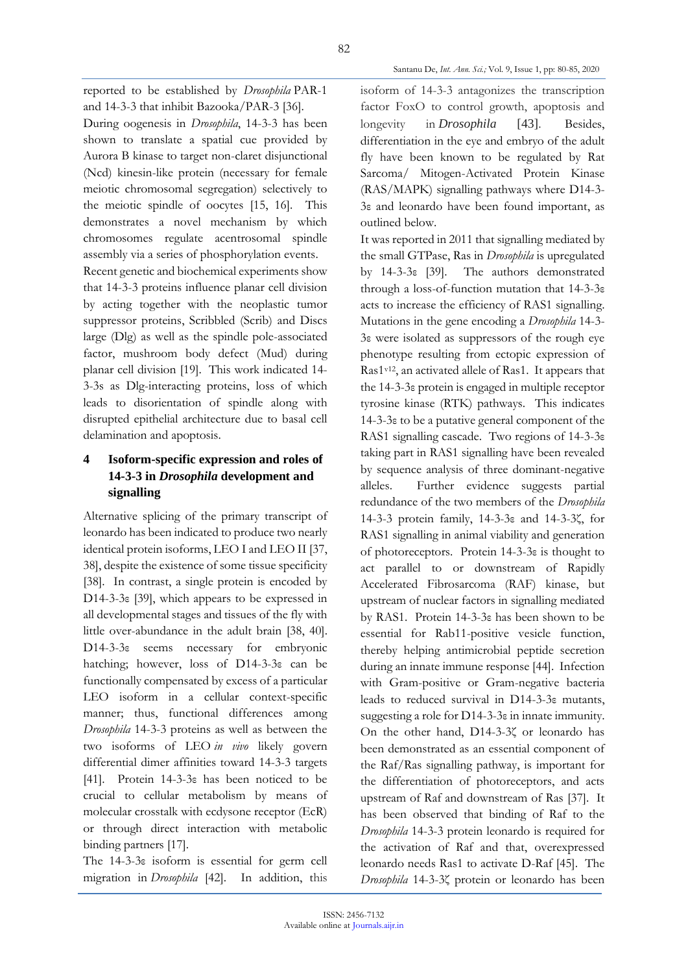reported to be established by *Drosophila* PAR-1 and 14-3-3 that inhibit Bazooka/PAR-3 [36].

During oogenesis in *Drosophila*, 14-3-3 has been shown to translate a spatial cue provided by Aurora B kinase to target non-claret disjunctional (Ncd) kinesin-like protein (necessary for female meiotic chromosomal segregation) selectively to the meiotic spindle of oocytes [15, 16]. This demonstrates a novel mechanism by which chromosomes regulate acentrosomal spindle assembly via a series of phosphorylation events.

Recent genetic and biochemical experiments show that 14-3-3 proteins influence planar cell division by acting together with the neoplastic tumor suppressor proteins, Scribbled (Scrib) and Discs large (Dlg) as well as the spindle pole-associated factor, mushroom body defect (Mud) during planar cell division [19]. This work indicated 14- 3-3s as Dlg-interacting proteins, loss of which leads to disorientation of spindle along with disrupted epithelial architecture due to basal cell delamination and apoptosis.

## **4 Isoform-specific expression and roles of 14-3-3 in** *Drosophila* **development and signalling**

Alternative splicing of the primary transcript of leonardo has been indicated to produce two nearly identical protein isoforms, LEO I and LEO II [37, 38], despite the existence of some tissue specificity [38]. In contrast, a single protein is encoded by D14-3-3ε [39], which appears to be expressed in all developmental stages and tissues of the fly with little over-abundance in the adult brain [38, 40]. D14-3-3ε seems necessary for embryonic hatching; however, loss of D14-3-3ε can be functionally compensated by excess of a particular LEO isoform in a cellular context-specific manner; thus, functional differences among *Drosophila* 14-3-3 proteins as well as between the two isoforms of LEO *in vivo* likely govern differential dimer affinities toward 14-3-3 targets [41]. Protein 14-3-3ε has been noticed to be crucial to cellular metabolism by means of molecular crosstalk with ecdysone receptor (EcR) or through direct interaction with metabolic binding partners [17].

The 14-3-3ε isoform is essential for germ cell migration in *Drosophila* [42]. In addition, this isoform of 14-3-3 antagonizes the transcription factor FoxO to control growth, apoptosis and longevity in *Drosophila* [43]. Besides, differentiation in the eye and embryo of the adult fly have been known to be regulated by Rat Sarcoma/ Mitogen-Activated Protein Kinase (RAS/MAPK) signalling pathways where D14-3- 3ε and leonardo have been found important, as outlined below.

Santanu De, *Int. Ann. Sci.;* Vol. 9, Issue 1, pp: 80-85, 2020

It was reported in 2011 that signalling mediated by the small GTPase, Ras in *Drosophila* is upregulated by 14-3-3ε [39]. The authors demonstrated through a loss-of-function mutation that 14-3-3ε acts to increase the efficiency of RAS1 signalling. Mutations in the gene encoding a *Drosophila* 14-3- 3ε were isolated as suppressors of the rough eye phenotype resulting from ectopic expression of Ras1v12, an activated allele of Ras1. It appears that the 14-3-3ε protein is engaged in multiple receptor tyrosine kinase (RTK) pathways. This indicates 14-3-3ε to be a putative general component of the RAS1 signalling cascade. Two regions of 14-3-3ε taking part in RAS1 signalling have been revealed by sequence analysis of three dominant-negative alleles. Further evidence suggests partial redundance of the two members of the *Drosophila* 14-3-3 protein family, 14-3-3ε and 14-3-3ζ, for RAS1 signalling in animal viability and generation of photoreceptors. Protein 14-3-3ε is thought to act parallel to or downstream of Rapidly Accelerated Fibrosarcoma (RAF) kinase, but upstream of nuclear factors in signalling mediated by RAS1. Protein 14-3-3ε has been shown to be essential for Rab11-positive vesicle function, thereby helping antimicrobial peptide secretion during an innate immune response [44]. Infection with Gram-positive or Gram-negative bacteria leads to reduced survival in D14-3-3ε mutants, suggesting a role for D14-3-3ε in innate immunity. On the other hand, D14-3-3ζ or leonardo has been demonstrated as an essential component of the Raf/Ras signalling pathway, is important for the differentiation of photoreceptors, and acts upstream of Raf and downstream of Ras [37]. It has been observed that binding of Raf to the *Drosophila* 14-3-3 protein leonardo is required for the activation of Raf and that, overexpressed leonardo needs Ras1 to activate D-Raf [45]. The *Drosophila* 14-3-3ζ protein or leonardo has been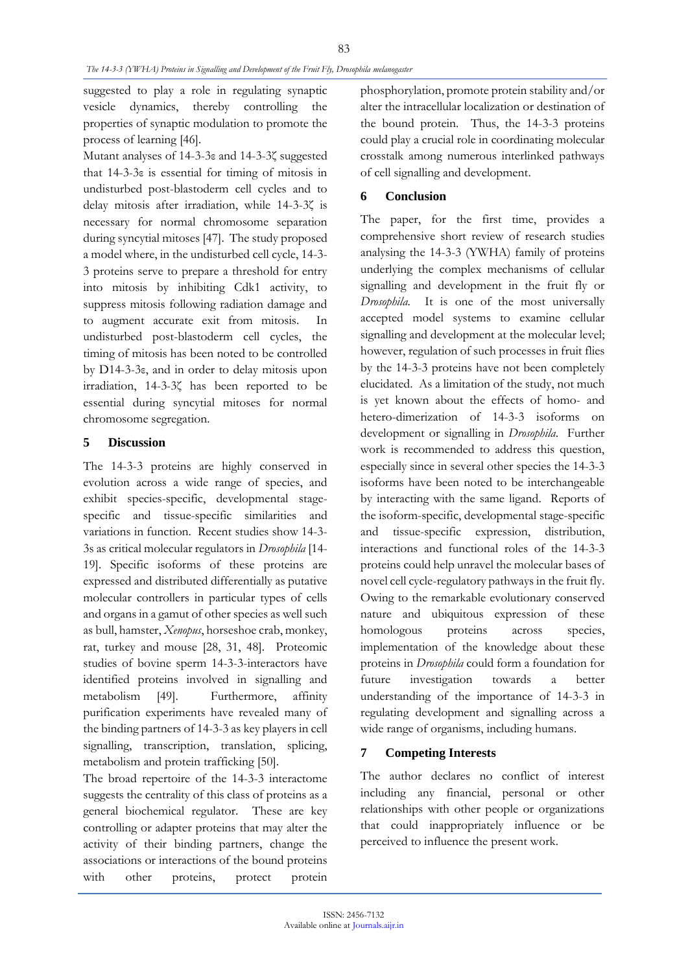suggested to play a role in regulating synaptic vesicle dynamics, thereby controlling the properties of synaptic modulation to promote the process of learning [46].

Mutant analyses of 14-3-3ε and 14-3-3ζ suggested that 14-3-3ε is essential for timing of mitosis in undisturbed post-blastoderm cell cycles and to delay mitosis after irradiation, while 14-3-3ζ is necessary for normal chromosome separation during syncytial mitoses [47]. The study proposed a model where, in the undisturbed cell cycle, 14-3- 3 proteins serve to prepare a threshold for entry into mitosis by inhibiting Cdk1 activity, to suppress mitosis following radiation damage and to augment accurate exit from mitosis. In undisturbed post-blastoderm cell cycles, the timing of mitosis has been noted to be controlled by D14-3-3ε, and in order to delay mitosis upon irradiation, 14-3-3ζ has been reported to be essential during syncytial mitoses for normal chromosome segregation.

### **5 Discussion**

The 14-3-3 proteins are highly conserved in evolution across a wide range of species, and exhibit species-specific, developmental stagespecific and tissue-specific similarities and variations in function. Recent studies show 14-3- 3s as critical molecular regulators in *Drosophila* [14- 19]. Specific isoforms of these proteins are expressed and distributed differentially as putative molecular controllers in particular types of cells and organs in a gamut of other species as well such as bull, hamster, *Xenopus*, horseshoe crab, monkey, rat, turkey and mouse [28, 31, 48]. Proteomic studies of bovine sperm 14-3-3-interactors have identified proteins involved in signalling and metabolism [49]. Furthermore, affinity purification experiments have revealed many of the binding partners of 14-3-3 as key players in cell signalling, transcription, translation, splicing, metabolism and protein trafficking [50].

The broad repertoire of the 14-3-3 interactome suggests the centrality of this class of proteins as a general biochemical regulator. These are key controlling or adapter proteins that may alter the activity of their binding partners, change the associations or interactions of the bound proteins with other proteins, protect protein

phosphorylation, promote protein stability and/or alter the intracellular localization or destination of the bound protein. Thus, the 14-3-3 proteins could play a crucial role in coordinating molecular crosstalk among numerous interlinked pathways of cell signalling and development.

## **6 Conclusion**

The paper, for the first time, provides a comprehensive short review of research studies analysing the 14-3-3 (YWHA) family of proteins underlying the complex mechanisms of cellular signalling and development in the fruit fly or *Drosophila*. It is one of the most universally accepted model systems to examine cellular signalling and development at the molecular level; however, regulation of such processes in fruit flies by the 14-3-3 proteins have not been completely elucidated. As a limitation of the study, not much is yet known about the effects of homo- and hetero-dimerization of 14-3-3 isoforms on development or signalling in *Drosophila*. Further work is recommended to address this question, especially since in several other species the 14-3-3 isoforms have been noted to be interchangeable by interacting with the same ligand. Reports of the isoform-specific, developmental stage-specific and tissue-specific expression, distribution, interactions and functional roles of the 14-3-3 proteins could help unravel the molecular bases of novel cell cycle-regulatory pathways in the fruit fly. Owing to the remarkable evolutionary conserved nature and ubiquitous expression of these homologous proteins across species, implementation of the knowledge about these proteins in *Drosophila* could form a foundation for future investigation towards a better understanding of the importance of 14-3-3 in regulating development and signalling across a wide range of organisms, including humans.

## **7 Competing Interests**

The author declares no conflict of interest including any financial, personal or other relationships with other people or organizations that could inappropriately influence or be perceived to influence the present work.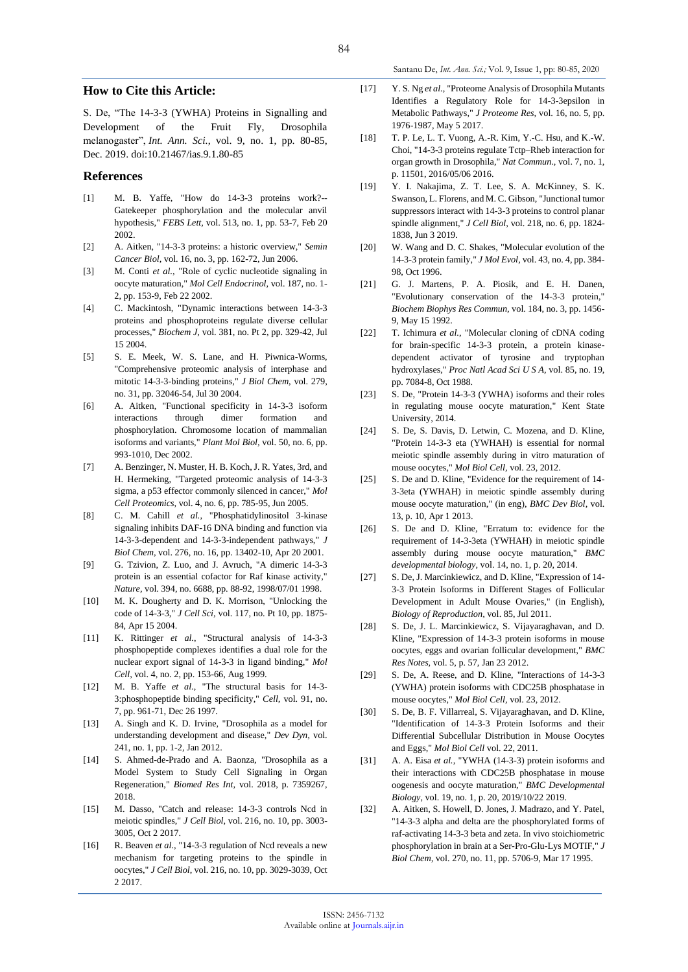#### Santanu De, *Int. Ann. Sci.;* Vol. 9, Issue 1, pp: 80-85, 2020

#### **How to Cite this Article:**

S. De, "The 14-3-3 (YWHA) Proteins in Signalling and Development of the Fruit Fly, Drosophila melanogaster", *Int. Ann. Sci.*, vol. 9, no. 1, pp. 80-85, Dec. 2019. do[i:10.21467/ias.9.1.80-85](https://doi.org/10.21467/ias.9.1.80-85)

#### **References**

- [1] M. B. Yaffe, "How do 14-3-3 proteins work?-- Gatekeeper phosphorylation and the molecular anvil hypothesis," *FEBS Lett,* vol. 513, no. 1, pp. 53-7, Feb 20 2002.
- [2] A. Aitken, "14-3-3 proteins: a historic overview," *Semin Cancer Biol,* vol. 16, no. 3, pp. 162-72, Jun 2006.
- [3] M. Conti *et al.*, "Role of cyclic nucleotide signaling in oocyte maturation," *Mol Cell Endocrinol,* vol. 187, no. 1- 2, pp. 153-9, Feb 22 2002.
- [4] C. Mackintosh, "Dynamic interactions between 14-3-3 proteins and phosphoproteins regulate diverse cellular processes," *Biochem J,* vol. 381, no. Pt 2, pp. 329-42, Jul 15 2004.
- [5] S. E. Meek, W. S. Lane, and H. Piwnica-Worms, "Comprehensive proteomic analysis of interphase and mitotic 14-3-3-binding proteins," *J Biol Chem,* vol. 279, no. 31, pp. 32046-54, Jul 30 2004.
- [6] A. Aitken, "Functional specificity in 14-3-3 isoform interactions through dimer formation and phosphorylation. Chromosome location of mammalian isoforms and variants," *Plant Mol Biol,* vol. 50, no. 6, pp. 993-1010, Dec 2002.
- [7] A. Benzinger, N. Muster, H. B. Koch, J. R. Yates, 3rd, and H. Hermeking, "Targeted proteomic analysis of 14-3-3 sigma, a p53 effector commonly silenced in cancer," *Mol Cell Proteomics,* vol. 4, no. 6, pp. 785-95, Jun 2005.
- [8] C. M. Cahill *et al.*, "Phosphatidylinositol 3-kinase signaling inhibits DAF-16 DNA binding and function via 14-3-3-dependent and 14-3-3-independent pathways," *J Biol Chem,* vol. 276, no. 16, pp. 13402-10, Apr 20 2001.
- [9] G. Tzivion, Z. Luo, and J. Avruch, "A dimeric 14-3-3 protein is an essential cofactor for Raf kinase activity," *Nature,* vol. 394, no. 6688, pp. 88-92, 1998/07/01 1998.
- [10] M. K. Dougherty and D. K. Morrison, "Unlocking the code of 14-3-3," *J Cell Sci,* vol. 117, no. Pt 10, pp. 1875- 84, Apr 15 2004.
- [11] K. Rittinger *et al.*, "Structural analysis of 14-3-3 phosphopeptide complexes identifies a dual role for the nuclear export signal of 14-3-3 in ligand binding," *Mol Cell,* vol. 4, no. 2, pp. 153-66, Aug 1999.
- [12] M. B. Yaffe *et al.*, "The structural basis for 14-3- 3:phosphopeptide binding specificity," *Cell,* vol. 91, no. 7, pp. 961-71, Dec 26 1997.
- [13] A. Singh and K. D. Irvine, "Drosophila as a model for understanding development and disease," *Dev Dyn,* vol. 241, no. 1, pp. 1-2, Jan 2012.
- [14] S. Ahmed-de-Prado and A. Baonza, "Drosophila as a Model System to Study Cell Signaling in Organ Regeneration," *Biomed Res Int,* vol. 2018, p. 7359267, 2018.
- [15] M. Dasso, "Catch and release: 14-3-3 controls Ncd in meiotic spindles," *J Cell Biol,* vol. 216, no. 10, pp. 3003- 3005, Oct 2 2017.
- [16] R. Beaven *et al.*, "14-3-3 regulation of Ncd reveals a new mechanism for targeting proteins to the spindle in oocytes," *J Cell Biol,* vol. 216, no. 10, pp. 3029-3039, Oct 2 2017.
- [17] Y. S. Ng *et al.*, "Proteome Analysis of Drosophila Mutants Identifies a Regulatory Role for 14-3-3epsilon in Metabolic Pathways," *J Proteome Res,* vol. 16, no. 5, pp. 1976-1987, May 5 2017.
- [18] T. P. Le, L. T. Vuong, A.-R. Kim, Y.-C. Hsu, and K.-W. Choi, "14-3-3 proteins regulate Tctp–Rheb interaction for organ growth in Drosophila," *Nat Commun.,* vol. 7, no. 1, p. 11501, 2016/05/06 2016.
- [19] Y. I. Nakajima, Z. T. Lee, S. A. McKinney, S. K. Swanson, L. Florens, and M. C. Gibson, "Junctional tumor suppressors interact with 14-3-3 proteins to control planar spindle alignment," *J Cell Biol,* vol. 218, no. 6, pp. 1824- 1838, Jun 3 2019.
- [20] W. Wang and D. C. Shakes, "Molecular evolution of the 14-3-3 protein family," *J Mol Evol,* vol. 43, no. 4, pp. 384- 98, Oct 1996.
- [21] G. J. Martens, P. A. Piosik, and E. H. Danen, "Evolutionary conservation of the 14-3-3 protein," *Biochem Biophys Res Commun,* vol. 184, no. 3, pp. 1456- 9, May 15 1992.
- [22] T. Ichimura *et al.*, "Molecular cloning of cDNA coding for brain-specific 14-3-3 protein, a protein kinasedependent activator of tyrosine and tryptophan hydroxylases," *Proc Natl Acad Sci U S A,* vol. 85, no. 19, pp. 7084-8, Oct 1988.
- [23] S. De, "Protein 14-3-3 (YWHA) isoforms and their roles in regulating mouse oocyte maturation," Kent State University, 2014.
- [24] S. De, S. Davis, D. Letwin, C. Mozena, and D. Kline, "Protein 14-3-3 eta (YWHAH) is essential for normal meiotic spindle assembly during in vitro maturation of mouse oocytes," *Mol Biol Cell,* vol. 23, 2012.
- [25] S. De and D. Kline, "Evidence for the requirement of 14-3-3eta (YWHAH) in meiotic spindle assembly during mouse oocyte maturation," (in eng), *BMC Dev Biol,* vol. 13, p. 10, Apr 1 2013.
- [26] S. De and D. Kline, "Erratum to: evidence for the requirement of 14-3-3eta (YWHAH) in meiotic spindle assembly during mouse oocyte maturation," *BMC developmental biology,* vol. 14, no. 1, p. 20, 2014.
- [27] S. De, J. Marcinkiewicz, and D. Kline, "Expression of 14- 3-3 Protein Isoforms in Different Stages of Follicular Development in Adult Mouse Ovaries," (in English), *Biology of Reproduction,* vol. 85, Jul 2011.
- [28] S. De, J. L. Marcinkiewicz, S. Vijayaraghavan, and D. Kline, "Expression of 14-3-3 protein isoforms in mouse oocytes, eggs and ovarian follicular development," *BMC Res Notes,* vol. 5, p. 57, Jan 23 2012.
- [29] S. De, A. Reese, and D. Kline, "Interactions of 14-3-3 (YWHA) protein isoforms with CDC25B phosphatase in mouse oocytes," *Mol Biol Cell,* vol. 23, 2012.
- [30] S. De, B. F. Villarreal, S. Vijayaraghavan, and D. Kline, "Identification of 14-3-3 Protein Isoforms and their Differential Subcellular Distribution in Mouse Oocytes and Eggs," *Mol Biol Cell* vol. 22, 2011.
- [31] A. A. Eisa *et al.*, "YWHA (14-3-3) protein isoforms and their interactions with CDC25B phosphatase in mouse oogenesis and oocyte maturation," *BMC Developmental Biology,* vol. 19, no. 1, p. 20, 2019/10/22 2019.
- [32] A. Aitken, S. Howell, D. Jones, J. Madrazo, and Y. Patel, "14-3-3 alpha and delta are the phosphorylated forms of raf-activating 14-3-3 beta and zeta. In vivo stoichiometric phosphorylation in brain at a Ser-Pro-Glu-Lys MOTIF," *J Biol Chem,* vol. 270, no. 11, pp. 5706-9, Mar 17 1995.